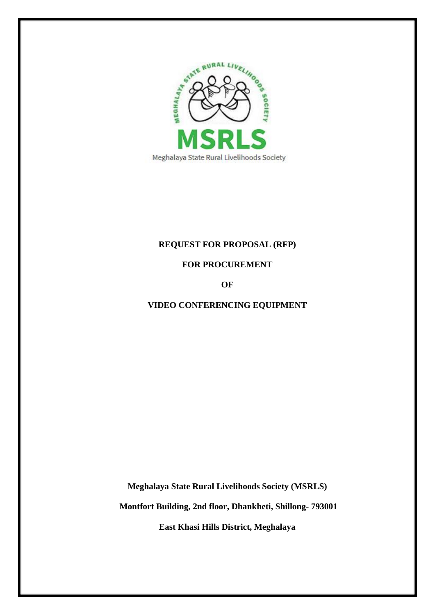

# **REQUEST FOR PROPOSAL (RFP)**

**FOR PROCUREMENT**

**OF**

# **VIDEO CONFERENCING EQUIPMENT**

**Meghalaya State Rural Livelihoods Society (MSRLS)**

**Montfort Building, 2nd floor, Dhankheti, Shillong- 793001**

**East Khasi Hills District, Meghalaya**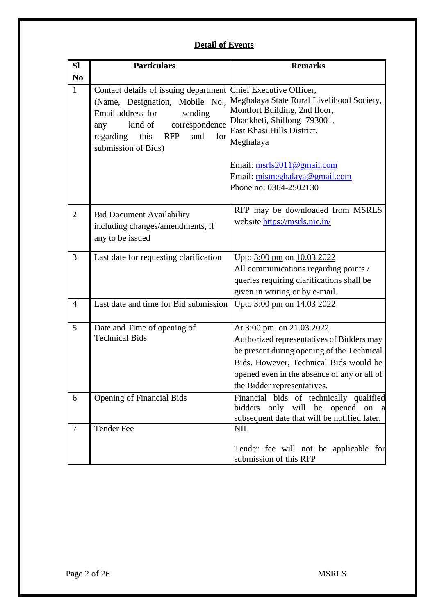# **Detail of Events**

| <b>SI</b>      | <b>Particulars</b>                                                                                                                                                                               | <b>Remarks</b>                                                                                                                                                                                                                                          |
|----------------|--------------------------------------------------------------------------------------------------------------------------------------------------------------------------------------------------|---------------------------------------------------------------------------------------------------------------------------------------------------------------------------------------------------------------------------------------------------------|
| N <sub>0</sub> |                                                                                                                                                                                                  |                                                                                                                                                                                                                                                         |
| $\mathbf{1}$   | Contact details of issuing department Chief Executive Officer,<br>Email address for<br>sending<br>kind of<br>correspondence<br>any<br>and<br>regarding<br>this RFP<br>for<br>submission of Bids) | (Name, Designation, Mobile No., Meghalaya State Rural Livelihood Society,<br>Montfort Building, 2nd floor,<br>Dhankheti, Shillong-793001,<br>East Khasi Hills District,<br>Meghalaya<br>Email: $msrls2011@gmail.com$<br>Email: mismeghalaya@gmail.com   |
|                |                                                                                                                                                                                                  | Phone no: 0364-2502130                                                                                                                                                                                                                                  |
| $\overline{2}$ | <b>Bid Document Availability</b><br>including changes/amendments, if<br>any to be issued                                                                                                         | RFP may be downloaded from MSRLS<br>website https://msrls.nic.in/                                                                                                                                                                                       |
| 3              | Last date for requesting clarification                                                                                                                                                           | Upto 3:00 pm on 10.03.2022<br>All communications regarding points /<br>queries requiring clarifications shall be<br>given in writing or by e-mail.                                                                                                      |
| $\overline{4}$ | Last date and time for Bid submission                                                                                                                                                            | Upto 3:00 pm on 14.03.2022                                                                                                                                                                                                                              |
| 5              | Date and Time of opening of<br><b>Technical Bids</b>                                                                                                                                             | At $3:00 \text{ pm}$ on $21.03.2022$<br>Authorized representatives of Bidders may<br>be present during opening of the Technical<br>Bids. However, Technical Bids would be<br>opened even in the absence of any or all of<br>the Bidder representatives. |
| 6              | <b>Opening of Financial Bids</b>                                                                                                                                                                 | Financial bids of technically qualified<br>bidders only will be opened on a<br>subsequent date that will be notified later.                                                                                                                             |
| $\tau$         | <b>Tender Fee</b>                                                                                                                                                                                | <b>NIL</b><br>Tender fee will not be applicable for<br>submission of this RFP                                                                                                                                                                           |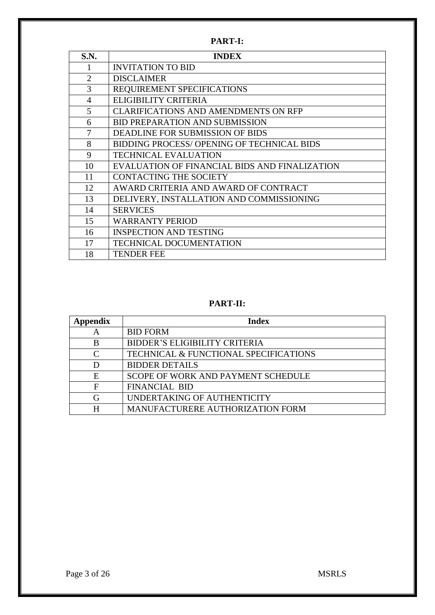**PART-I:**

| S.N.           | <b>INDEX</b>                                  |
|----------------|-----------------------------------------------|
| 1              | <b>INVITATION TO BID</b>                      |
| $\overline{2}$ | <b>DISCLAIMER</b>                             |
| 3              | REQUIREMENT SPECIFICATIONS                    |
| $\overline{4}$ | ELIGIBILITY CRITERIA                          |
| 5              | <b>CLARIFICATIONS AND AMENDMENTS ON RFP</b>   |
| 6              | <b>BID PREPARATION AND SUBMISSION</b>         |
| 7              | DEADLINE FOR SUBMISSION OF BIDS               |
| 8              | BIDDING PROCESS/ OPENING OF TECHNICAL BIDS    |
| 9              | <b>TECHNICAL EVALUATION</b>                   |
| 10             | EVALUATION OF FINANCIAL BIDS AND FINALIZATION |
| 11             | <b>CONTACTING THE SOCIETY</b>                 |
| 12             | AWARD CRITERIA AND AWARD OF CONTRACT          |
| 13             | DELIVERY, INSTALLATION AND COMMISSIONING      |
| 14             | <b>SERVICES</b>                               |
| 15             | <b>WARRANTY PERIOD</b>                        |
| 16             | <b>INSPECTION AND TESTING</b>                 |
| 17             | TECHNICAL DOCUMENTATION                       |
| 18             | <b>TENDER FEE</b>                             |

# **PART-II:**

| ppendix  | <b>Index</b>                                     |
|----------|--------------------------------------------------|
| А        | <b>BID FORM</b>                                  |
| B        | BIDDER'S ELIGIBILITY CRITERIA                    |
| $\Gamma$ | <b>TECHNICAL &amp; FUNCTIONAL SPECIFICATIONS</b> |
| D        | <b>BIDDER DETAILS</b>                            |
| E        | SCOPE OF WORK AND PAYMENT SCHEDULE               |
| F        | <b>FINANCIAL BID</b>                             |
| G        | UNDERTAKING OF AUTHENTICITY                      |
| H        | MANUFACTURERE AUTHORIZATION FORM                 |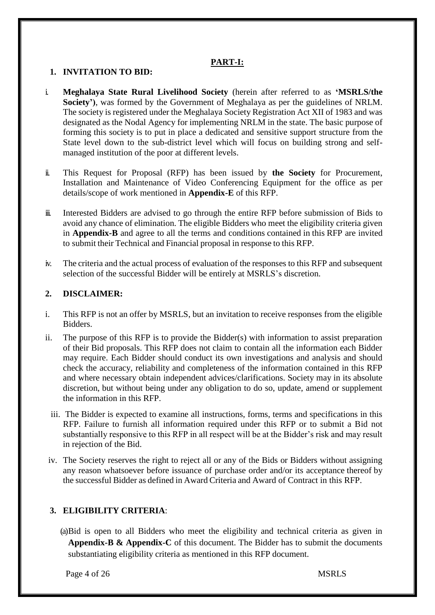#### **PART-I:**

#### **1. INVITATION TO BID:**

- i. **Meghalaya State Rural Livelihood Society** (herein after referred to as **'MSRLS/the Society')**, was formed by the Government of Meghalaya as per the guidelines of NRLM. The society is registered under the Meghalaya Society Registration Act XII of 1983 and was designated as the Nodal Agency for implementing NRLM in the state. The basic purpose of forming this society is to put in place a dedicated and sensitive support structure from the State level down to the sub-district level which will focus on building strong and selfmanaged institution of the poor at different levels.
- ii. This Request for Proposal (RFP) has been issued by **the Society** for Procurement, Installation and Maintenance of Video Conferencing Equipment for the office as per details/scope of work mentioned in **Appendix-E** of this RFP.
- iii. Interested Bidders are advised to go through the entire RFP before submission of Bids to avoid any chance of elimination. The eligible Bidders who meet the eligibility criteria given in **Appendix-B** and agree to all the terms and conditions contained in this RFP are invited to submit their Technical and Financial proposal in response to this RFP.
- iv. The criteria and the actual process of evaluation of the responses to this RFP and subsequent selection of the successful Bidder will be entirely at MSRLS's discretion.

### **2. DISCLAIMER:**

- i. This RFP is not an offer by MSRLS, but an invitation to receive responses from the eligible Bidders.
- ii. The purpose of this RFP is to provide the Bidder(s) with information to assist preparation of their Bid proposals. This RFP does not claim to contain all the information each Bidder may require. Each Bidder should conduct its own investigations and analysis and should check the accuracy, reliability and completeness of the information contained in this RFP and where necessary obtain independent advices/clarifications. Society may in its absolute discretion, but without being under any obligation to do so, update, amend or supplement the information in this RFP.
	- iii. The Bidder is expected to examine all instructions, forms, terms and specifications in this RFP. Failure to furnish all information required under this RFP or to submit a Bid not substantially responsive to this RFP in all respect will be at the Bidder's risk and may result in rejection of the Bid.
- iv. The Society reserves the right to reject all or any of the Bids or Bidders without assigning any reason whatsoever before issuance of purchase order and/or its acceptance thereof by the successful Bidder as defined in Award Criteria and Award of Contract in this RFP.

### **3. ELIGIBILITY CRITERIA**:

(a)Bid is open to all Bidders who meet the eligibility and technical criteria as given in **Appendix-B & Appendix-C** of this document. The Bidder has to submit the documents substantiating eligibility criteria as mentioned in this RFP document.

Page 4 of 26 MSRLS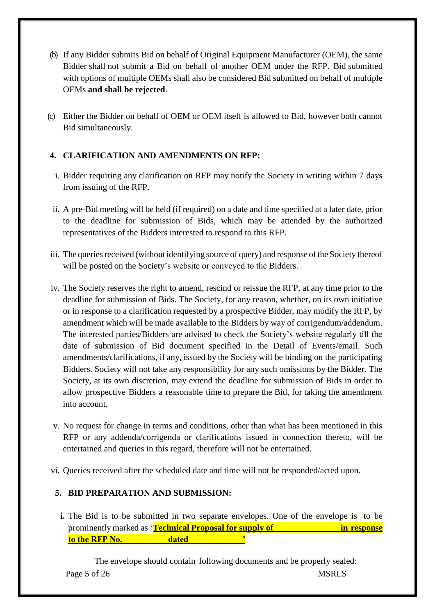- (b) If any Bidder submits Bid on behalf of Original Equipment Manufacturer (OEM), the same Bidder shall not submit a Bid on behalf of another OEM under the RFP. Bid submitted with options of multiple OEMs shall also be considered Bid submitted on behalf of multiple OEMs **and shall be rejected**.
- (c) Either the Bidder on behalf of OEM or OEM itself is allowed to Bid, however both cannot Bid simultaneously.

# **4. CLARIFICATION AND AMENDMENTS ON RFP:**

- i. Bidder requiring any clarification on RFP may notify the Society in writing within 7 days from issuing of the RFP.
- ii. A pre-Bid meeting will be held (if required) on a date and time specified at a later date, prior to the deadline for submission of Bids, which may be attended by the authorized representatives of the Bidders interested to respond to this RFP.
- iii. The queries received (without identifying source of query) and response of the Society thereof will be posted on the Society's website or conveyed to the Bidders.
- iv. The Society reserves the right to amend, rescind or reissue the RFP, at any time prior to the deadline for submission of Bids. The Society, for any reason, whether, on its own initiative or in response to a clarification requested by a prospective Bidder, may modify the RFP, by amendment which will be made available to the Bidders by way of corrigendum/addendum. The interested parties/Bidders are advised to check the Society's website regularly till the date of submission of Bid document specified in the Detail of Events/email. Such amendments/clarifications, if any, issued by the Society will be binding on the participating Bidders. Society will not take any responsibility for any such omissions by the Bidder. The Society, at its own discretion, may extend the deadline for submission of Bids in order to allow prospective Bidders a reasonable time to prepare the Bid, for taking the amendment into account.
- v. No request for change in terms and conditions, other than what has been mentioned in this RFP or any addenda/corrigenda or clarifications issued in connection thereto, will be entertained and queries in this regard, therefore will not be entertained.
- vi. Queries received after the scheduled date and time will not be responded/acted upon.

### **5. BID PREPARATION AND SUBMISSION:**

**i.** The Bid is to be submitted in two separate envelopes. One of the envelope is to be prominently marked as '**Technical Proposal for supply of in response to the RFP No. dated** 

Page 5 of 26 MSRLS The envelope should contain following documents and be properly sealed: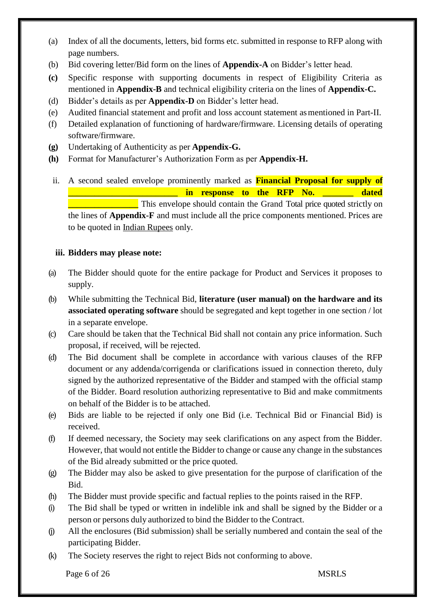- (a) Index of all the documents, letters, bid forms etc. submitted in response to RFP along with page numbers.
- (b) Bid covering letter/Bid form on the lines of **Appendix-A** on Bidder's letter head.
- **(c)** Specific response with supporting documents in respect of Eligibility Criteria as mentioned in **Appendix-B** and technical eligibility criteria on the lines of **Appendix-C.**
- (d) Bidder's details as per **Appendix-D** on Bidder's letter head.
- (e) Audited financial statement and profit and loss account statement asmentioned in Part-II.
- (f) Detailed explanation of functioning of hardware/firmware. Licensing details of operating software/firmware.
- **(g)** Undertaking of Authenticity as per **Appendix-G.**
- **(h)** Format for Manufacturer's Authorization Form as per **Appendix-H.**
- ii. A second sealed envelope prominently marked as **Financial Proposal for supply of \_\_\_\_\_\_\_\_\_\_\_\_\_\_\_\_\_\_\_\_\_\_\_\_\_ in response to the RFP No. \_\_\_\_\_\_\_ dated**  This envelope should contain the Grand Total price quoted strictly on the lines of **Appendix-F** and must include all the price components mentioned. Prices are to be quoted in Indian Rupees only.

### **iii. Bidders may please note:**

- (a) The Bidder should quote for the entire package for Product and Services it proposes to supply.
- (b) While submitting the Technical Bid, **literature (user manual) on the hardware and its associated operating software** should be segregated and kept together in one section / lot in a separate envelope.
- (c) Care should be taken that the Technical Bid shall not contain any price information. Such proposal, if received, will be rejected.
- (d) The Bid document shall be complete in accordance with various clauses of the RFP document or any addenda/corrigenda or clarifications issued in connection thereto, duly signed by the authorized representative of the Bidder and stamped with the official stamp of the Bidder. Board resolution authorizing representative to Bid and make commitments on behalf of the Bidder is to be attached.
- (e) Bids are liable to be rejected if only one Bid (i.e. Technical Bid or Financial Bid) is received.
- (f) If deemed necessary, the Society may seek clarifications on any aspect from the Bidder. However, that would not entitle the Bidder to change or cause any change in the substances of the Bid already submitted or the price quoted.
- (g) The Bidder may also be asked to give presentation for the purpose of clarification of the Bid.
- (h) The Bidder must provide specific and factual replies to the points raised in the RFP.
- (i) The Bid shall be typed or written in indelible ink and shall be signed by the Bidder or a person or persons duly authorized to bind the Bidder to the Contract.
- (j) All the enclosures (Bid submission) shall be serially numbered and contain the seal of the participating Bidder.
- (k) The Society reserves the right to reject Bids not conforming to above.

Page 6 of 26 MSRLS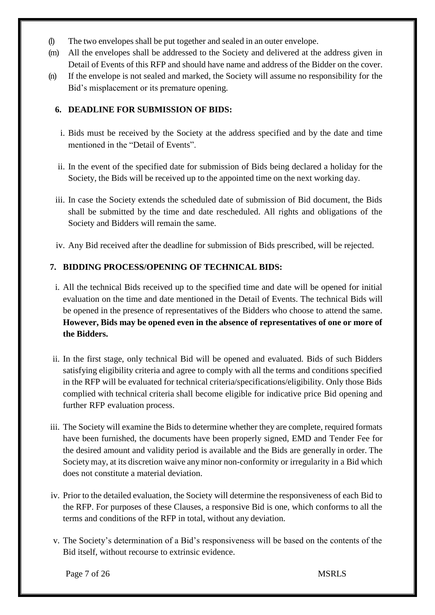- (l) The two envelopes shall be put together and sealed in an outer envelope.
- (m) All the envelopes shall be addressed to the Society and delivered at the address given in Detail of Events of this RFP and should have name and address of the Bidder on the cover.
- (n) If the envelope is not sealed and marked, the Society will assume no responsibility for the Bid's misplacement or its premature opening.

# **6. DEADLINE FOR SUBMISSION OF BIDS:**

- i. Bids must be received by the Society at the address specified and by the date and time mentioned in the "Detail of Events".
- ii. In the event of the specified date for submission of Bids being declared a holiday for the Society, the Bids will be received up to the appointed time on the next working day.
- iii. In case the Society extends the scheduled date of submission of Bid document, the Bids shall be submitted by the time and date rescheduled. All rights and obligations of the Society and Bidders will remain the same.
- iv. Any Bid received after the deadline for submission of Bids prescribed, will be rejected.

### **7. BIDDING PROCESS/OPENING OF TECHNICAL BIDS:**

- i. All the technical Bids received up to the specified time and date will be opened for initial evaluation on the time and date mentioned in the Detail of Events. The technical Bids will be opened in the presence of representatives of the Bidders who choose to attend the same. **However, Bids may be opened even in the absence of representatives of one or more of the Bidders.**
- ii. In the first stage, only technical Bid will be opened and evaluated. Bids of such Bidders satisfying eligibility criteria and agree to comply with all the terms and conditions specified in the RFP will be evaluated for technical criteria/specifications/eligibility. Only those Bids complied with technical criteria shall become eligible for indicative price Bid opening and further RFP evaluation process.
- iii. The Society will examine the Bids to determine whether they are complete, required formats have been furnished, the documents have been properly signed, EMD and Tender Fee for the desired amount and validity period is available and the Bids are generally in order. The Society may, at its discretion waive any minor non-conformity or irregularity in a Bid which does not constitute a material deviation.
- iv. Prior to the detailed evaluation, the Society will determine the responsiveness of each Bid to the RFP. For purposes of these Clauses, a responsive Bid is one, which conforms to all the terms and conditions of the RFP in total, without any deviation.
- v. The Society's determination of a Bid's responsiveness will be based on the contents of the Bid itself, without recourse to extrinsic evidence.

Page 7 of 26 MSRLS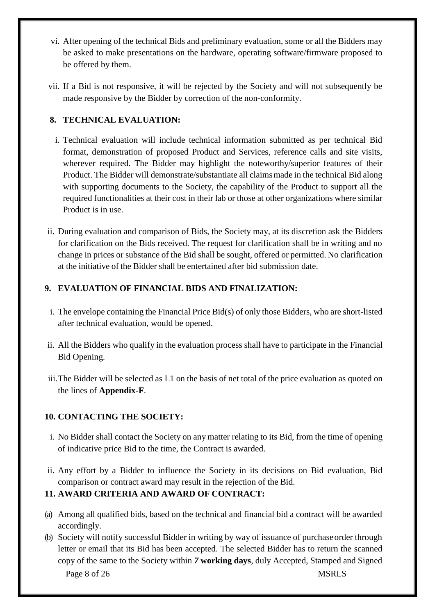- vi. After opening of the technical Bids and preliminary evaluation, some or all the Bidders may be asked to make presentations on the hardware, operating software/firmware proposed to be offered by them.
- vii. If a Bid is not responsive, it will be rejected by the Society and will not subsequently be made responsive by the Bidder by correction of the non-conformity.

# **8. TECHNICAL EVALUATION:**

- i. Technical evaluation will include technical information submitted as per technical Bid format, demonstration of proposed Product and Services, reference calls and site visits, wherever required. The Bidder may highlight the noteworthy/superior features of their Product. The Bidder will demonstrate/substantiate all claimsmade in the technical Bid along with supporting documents to the Society, the capability of the Product to support all the required functionalities at their cost in their lab or those at other organizations where similar Product is in use.
- ii. During evaluation and comparison of Bids, the Society may, at its discretion ask the Bidders for clarification on the Bids received. The request for clarification shall be in writing and no change in prices or substance of the Bid shall be sought, offered or permitted. No clarification at the initiative of the Bidder shall be entertained after bid submission date.

# **9. EVALUATION OF FINANCIAL BIDS AND FINALIZATION:**

- i. The envelope containing the Financial Price Bid(s) of only those Bidders, who are short-listed after technical evaluation, would be opened.
- ii. All the Bidders who qualify in the evaluation process shall have to participate in the Financial Bid Opening.
- iii.The Bidder will be selected as L1 on the basis of net total of the price evaluation as quoted on the lines of **Appendix-F**.

# **10. CONTACTING THE SOCIETY:**

- i. No Bidder shall contact the Society on any matter relating to its Bid, from the time of opening of indicative price Bid to the time, the Contract is awarded.
- ii. Any effort by a Bidder to influence the Society in its decisions on Bid evaluation, Bid comparison or contract award may result in the rejection of the Bid.

### **11. AWARD CRITERIA AND AWARD OF CONTRACT:**

- (a) Among all qualified bids, based on the technical and financial bid a contract will be awarded accordingly.
- Page 8 of 26 MSRLS (b) Society will notify successful Bidder in writing by way of issuance of purchaseorder through letter or email that its Bid has been accepted. The selected Bidder has to return the scanned copy of the same to the Society within *7* **working days**, duly Accepted, Stamped and Signed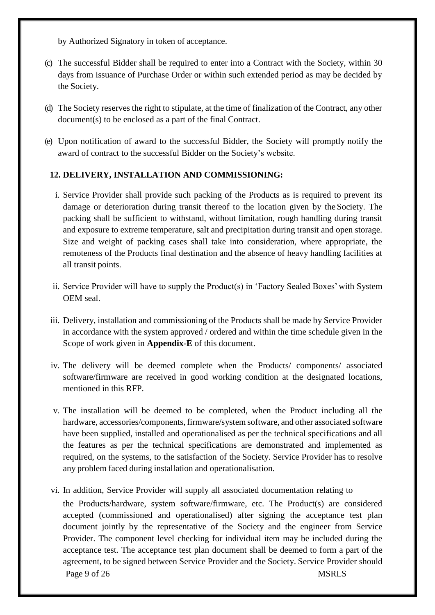by Authorized Signatory in token of acceptance.

- (c) The successful Bidder shall be required to enter into a Contract with the Society, within 30 days from issuance of Purchase Order or within such extended period as may be decided by the Society.
- (d) The Society reserves the right to stipulate, at the time of finalization of the Contract, any other document(s) to be enclosed as a part of the final Contract.
- (e) Upon notification of award to the successful Bidder, the Society will promptly notify the award of contract to the successful Bidder on the Society's website.

# **12. DELIVERY, INSTALLATION AND COMMISSIONING:**

- i. Service Provider shall provide such packing of the Products as is required to prevent its damage or deterioration during transit thereof to the location given by the Society. The packing shall be sufficient to withstand, without limitation, rough handling during transit and exposure to extreme temperature, salt and precipitation during transit and open storage. Size and weight of packing cases shall take into consideration, where appropriate, the remoteness of the Products final destination and the absence of heavy handling facilities at all transit points.
- ii. Service Provider will have to supply the Product(s) in 'Factory Sealed Boxes' with System OEM seal.
- iii. Delivery, installation and commissioning of the Products shall be made by Service Provider in accordance with the system approved / ordered and within the time schedule given in the Scope of work given in **Appendix-E** of this document.
- iv. The delivery will be deemed complete when the Products/ components/ associated software/firmware are received in good working condition at the designated locations, mentioned in this RFP.
- v. The installation will be deemed to be completed, when the Product including all the hardware, accessories/components, firmware/system software, and other associated software have been supplied, installed and operationalised as per the technical specifications and all the features as per the technical specifications are demonstrated and implemented as required, on the systems, to the satisfaction of the Society. Service Provider has to resolve any problem faced during installation and operationalisation.
- Page 9 of 26 MSRLS vi. In addition, Service Provider will supply all associated documentation relating to the Products/hardware, system software/firmware, etc. The Product(s) are considered accepted (commissioned and operationalised) after signing the acceptance test plan document jointly by the representative of the Society and the engineer from Service Provider. The component level checking for individual item may be included during the acceptance test. The acceptance test plan document shall be deemed to form a part of the agreement, to be signed between Service Provider and the Society. Service Provider should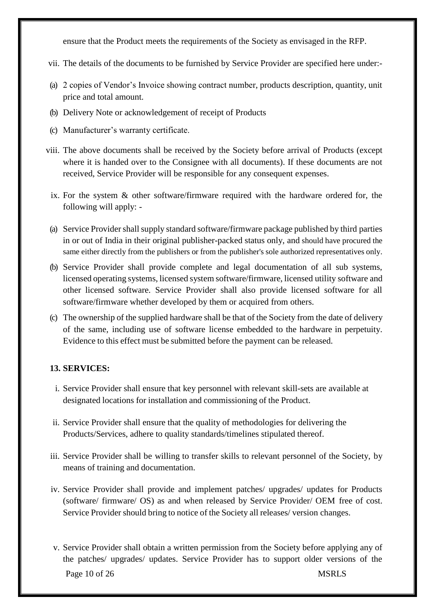ensure that the Product meets the requirements of the Society as envisaged in the RFP.

- vii. The details of the documents to be furnished by Service Provider are specified here under:-
- (a) 2 copies of Vendor's Invoice showing contract number, products description, quantity, unit price and total amount.
- (b) Delivery Note or acknowledgement of receipt of Products
- (c) Manufacturer's warranty certificate.
- viii. The above documents shall be received by the Society before arrival of Products (except where it is handed over to the Consignee with all documents). If these documents are not received, Service Provider will be responsible for any consequent expenses.
- ix. For the system & other software/firmware required with the hardware ordered for, the following will apply: -
- (a) Service Provider shall supply standard software/firmware package published by third parties in or out of India in their original publisher-packed status only, and should have procured the same either directly from the publishers or from the publisher's sole authorized representatives only.
- (b) Service Provider shall provide complete and legal documentation of all sub systems, licensed operating systems, licensed system software/firmware, licensed utility software and other licensed software. Service Provider shall also provide licensed software for all software/firmware whether developed by them or acquired from others.
- (c) The ownership of the supplied hardware shall be that of the Society from the date of delivery of the same, including use of software license embedded to the hardware in perpetuity. Evidence to this effect must be submitted before the payment can be released.

### **13. SERVICES:**

- i. Service Provider shall ensure that key personnel with relevant skill-sets are available at designated locations for installation and commissioning of the Product.
- ii. Service Provider shall ensure that the quality of methodologies for delivering the Products/Services, adhere to quality standards/timelines stipulated thereof.
- iii. Service Provider shall be willing to transfer skills to relevant personnel of the Society, by means of training and documentation.
- iv. Service Provider shall provide and implement patches/ upgrades/ updates for Products (software/ firmware/ OS) as and when released by Service Provider/ OEM free of cost. Service Provider should bring to notice of the Society all releases/ version changes.
- Page 10 of 26 MSRLS v. Service Provider shall obtain a written permission from the Society before applying any of the patches/ upgrades/ updates. Service Provider has to support older versions of the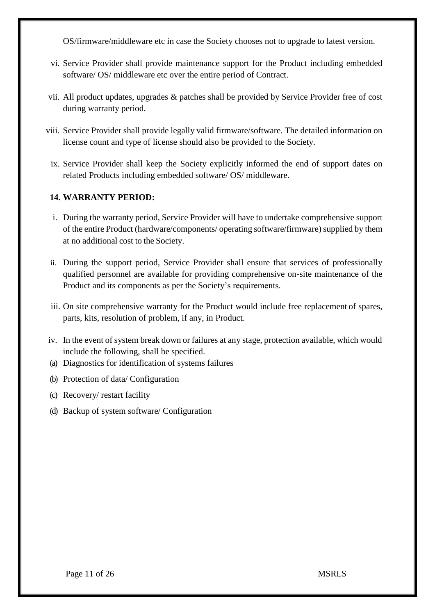OS/firmware/middleware etc in case the Society chooses not to upgrade to latest version.

- vi. Service Provider shall provide maintenance support for the Product including embedded software/ OS/ middleware etc over the entire period of Contract.
- vii. All product updates, upgrades & patches shall be provided by Service Provider free of cost during warranty period.
- viii. Service Provider shall provide legally valid firmware/software. The detailed information on license count and type of license should also be provided to the Society.
- ix. Service Provider shall keep the Society explicitly informed the end of support dates on related Products including embedded software/ OS/ middleware.

#### **14. WARRANTY PERIOD:**

- i. During the warranty period, Service Provider will have to undertake comprehensive support of the entire Product (hardware/components/ operating software/firmware) supplied by them at no additional cost to the Society.
- ii. During the support period, Service Provider shall ensure that services of professionally qualified personnel are available for providing comprehensive on-site maintenance of the Product and its components as per the Society's requirements.
- iii. On site comprehensive warranty for the Product would include free replacement of spares, parts, kits, resolution of problem, if any, in Product.
- iv. In the event of system break down or failures at any stage, protection available, which would include the following, shall be specified.
- (a) Diagnostics for identification of systems failures
- (b) Protection of data/ Configuration
- (c) Recovery/ restart facility
- (d) Backup of system software/ Configuration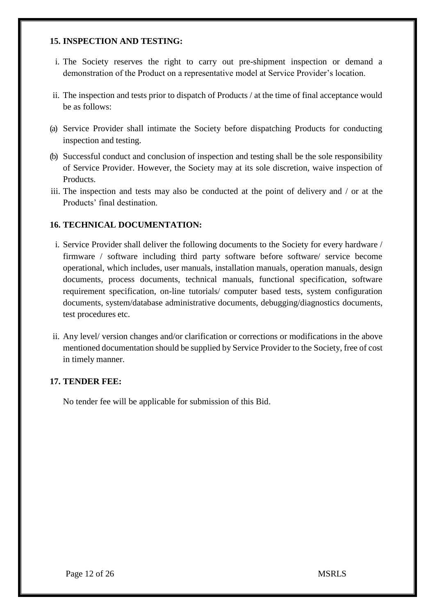#### **15. INSPECTION AND TESTING:**

- i. The Society reserves the right to carry out pre-shipment inspection or demand a demonstration of the Product on a representative model at Service Provider's location.
- ii. The inspection and tests prior to dispatch of Products / at the time of final acceptance would be as follows:
- (a) Service Provider shall intimate the Society before dispatching Products for conducting inspection and testing.
- (b) Successful conduct and conclusion of inspection and testing shall be the sole responsibility of Service Provider. However, the Society may at its sole discretion, waive inspection of Products.
- iii. The inspection and tests may also be conducted at the point of delivery and / or at the Products' final destination.

#### **16. TECHNICAL DOCUMENTATION:**

- i. Service Provider shall deliver the following documents to the Society for every hardware / firmware / software including third party software before software/ service become operational, which includes, user manuals, installation manuals, operation manuals, design documents, process documents, technical manuals, functional specification, software requirement specification, on-line tutorials/ computer based tests, system configuration documents, system/database administrative documents, debugging/diagnostics documents, test procedures etc.
- ii. Any level/ version changes and/or clarification or corrections or modifications in the above mentioned documentation should be supplied by Service Provider to the Society, free of cost in timely manner.

#### **17. TENDER FEE:**

No tender fee will be applicable for submission of this Bid.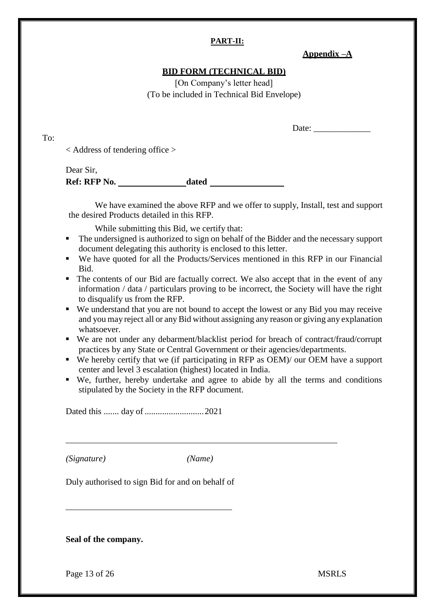#### **PART-II:**

### **Appendix –A**

#### **BID FORM (TECHNICAL BID)**

[On Company's letter head] (To be included in Technical Bid Envelope)

Date:

< Address of tendering office >

To:

Dear Sir, **Ref: RFP No. dated** 

We have examined the above RFP and we offer to supply, Install, test and support the desired Products detailed in this RFP.

While submitting this Bid, we certify that:

- The undersigned is authorized to sign on behalf of the Bidder and the necessary support document delegating this authority is enclosed to this letter.
- We have quoted for all the Products/Services mentioned in this RFP in our Financial Bid.
- The contents of our Bid are factually correct. We also accept that in the event of any information / data / particulars proving to be incorrect, the Society will have the right to disqualify us from the RFP.
- We understand that you are not bound to accept the lowest or any Bid you may receive and you may reject all or any Bid without assigning any reason or giving any explanation whatsoever.
- We are not under any debarment/blacklist period for breach of contract/fraud/corrupt practices by any State or Central Government or their agencies/departments.
- We hereby certify that we (if participating in RFP as OEM)/ our OEM have a support center and level 3 escalation (highest) located in India.
- We, further, hereby undertake and agree to abide by all the terms and conditions stipulated by the Society in the RFP document.

Dated this ....... day of ...........................2021

*(Signature) (Name)*

Duly authorised to sign Bid for and on behalf of

**Seal of the company.**

Page 13 of 26 MSRLS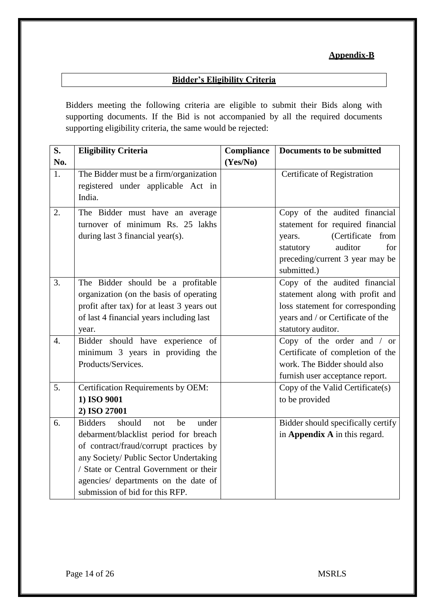# **Appendix-B**

# **Bidder's Eligibility Criteria**

Bidders meeting the following criteria are eligible to submit their Bids along with supporting documents. If the Bid is not accompanied by all the required documents supporting eligibility criteria, the same would be rejected:

| S.  | <b>Eligibility Criteria</b>                                                  | Compliance | <b>Documents to be submitted</b>   |
|-----|------------------------------------------------------------------------------|------------|------------------------------------|
| No. |                                                                              | (Yes/No)   |                                    |
| 1.  | The Bidder must be a firm/organization<br>registered under applicable Act in |            | Certificate of Registration        |
|     | India.                                                                       |            |                                    |
| 2.  | The Bidder must have an average                                              |            | Copy of the audited financial      |
|     | turnover of minimum Rs. 25 lakhs                                             |            | statement for required financial   |
|     | during last 3 financial year(s).                                             |            | (Certificate<br>from<br>years.     |
|     |                                                                              |            | auditor<br>for<br>statutory        |
|     |                                                                              |            | preceding/current 3 year may be    |
|     |                                                                              |            | submitted.)                        |
| 3.  | The Bidder should be a profitable                                            |            | Copy of the audited financial      |
|     | organization (on the basis of operating                                      |            | statement along with profit and    |
|     | profit after tax) for at least 3 years out                                   |            | loss statement for corresponding   |
|     | of last 4 financial years including last                                     |            | years and / or Certificate of the  |
|     | year.                                                                        |            | statutory auditor.                 |
| 4.  | Bidder should have experience of                                             |            | Copy of the order and / or         |
|     | minimum 3 years in providing the                                             |            | Certificate of completion of the   |
|     | Products/Services.                                                           |            | work. The Bidder should also       |
|     |                                                                              |            | furnish user acceptance report.    |
| 5.  | Certification Requirements by OEM:                                           |            | Copy of the Valid Certificate(s)   |
|     | 1) ISO 9001                                                                  |            | to be provided                     |
|     | 2) ISO 27001                                                                 |            |                                    |
| 6.  | should<br><b>Bidders</b><br>be<br>under<br>not                               |            | Bidder should specifically certify |
|     | debarment/blacklist period for breach                                        |            | in Appendix A in this regard.      |
|     | of contract/fraud/corrupt practices by                                       |            |                                    |
|     | any Society/ Public Sector Undertaking                                       |            |                                    |
|     | / State or Central Government or their                                       |            |                                    |
|     | agencies/ departments on the date of                                         |            |                                    |
|     | submission of bid for this RFP.                                              |            |                                    |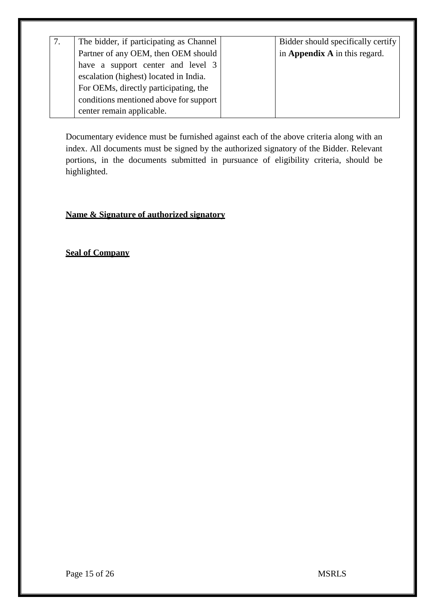| The bidder, if participating as Channel | Bidder should specifically certify |
|-----------------------------------------|------------------------------------|
| Partner of any OEM, then OEM should     | in Appendix A in this regard.      |
| have a support center and level 3       |                                    |
| escalation (highest) located in India.  |                                    |
| For OEMs, directly participating, the   |                                    |
| conditions mentioned above for support  |                                    |
| center remain applicable.               |                                    |

Documentary evidence must be furnished against each of the above criteria along with an index. All documents must be signed by the authorized signatory of the Bidder. Relevant portions, in the documents submitted in pursuance of eligibility criteria, should be highlighted.

# **Name & Signature of authorized signatory**

**Seal of Company**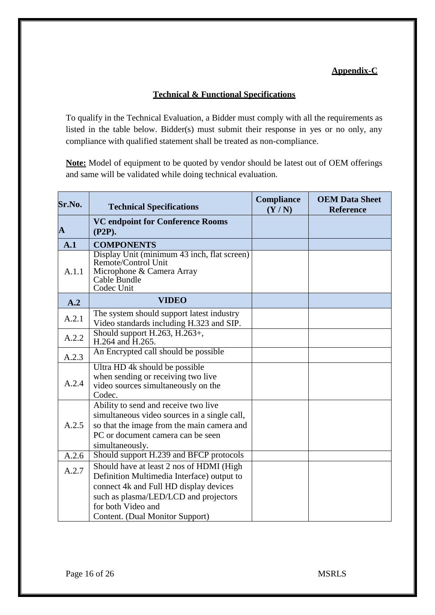### **Appendix-C**

### **Technical & Functional Specifications**

To qualify in the Technical Evaluation, a Bidder must comply with all the requirements as listed in the table below. Bidder(s) must submit their response in yes or no only, any compliance with qualified statement shall be treated as non-compliance.

**Note:** Model of equipment to be quoted by vendor should be latest out of OEM offerings and same will be validated while doing technical evaluation.

| Sr.No.       | <b>Technical Specifications</b>                                                                                                                                                            | <b>Compliance</b><br>(Y/N) | <b>OEM Data Sheet</b><br><b>Reference</b> |
|--------------|--------------------------------------------------------------------------------------------------------------------------------------------------------------------------------------------|----------------------------|-------------------------------------------|
| $\mathbf{A}$ | <b>VC endpoint for Conference Rooms</b><br>$(P2P)$ .                                                                                                                                       |                            |                                           |
| A.1          | <b>COMPONENTS</b>                                                                                                                                                                          |                            |                                           |
| A.1.1        | Display Unit (minimum 43 inch, flat screen)<br>Remote/Control Unit<br>Microphone & Camera Array<br>Cable Bundle<br>Codec Unit                                                              |                            |                                           |
| A.2          | <b>VIDEO</b>                                                                                                                                                                               |                            |                                           |
| A.2.1        | The system should support latest industry<br>Video standards including H.323 and SIP.                                                                                                      |                            |                                           |
| A.2.2        | Should support H.263, H.263+,<br>H.264 and H.265.                                                                                                                                          |                            |                                           |
| A.2.3        | An Encrypted call should be possible                                                                                                                                                       |                            |                                           |
| A.2.4        | Ultra HD 4k should be possible<br>when sending or receiving two live<br>video sources simultaneously on the<br>Codec.                                                                      |                            |                                           |
| A.2.5        | Ability to send and receive two live<br>simultaneous video sources in a single call,<br>so that the image from the main camera and<br>PC or document camera can be seen<br>simultaneously. |                            |                                           |
| A.2.6        | Should support H.239 and BFCP protocols                                                                                                                                                    |                            |                                           |
| A.2.7        | Should have at least 2 nos of HDMI (High<br>Definition Multimedia Interface) output to<br>connect 4k and Full HD display devices                                                           |                            |                                           |
|              | such as plasma/LED/LCD and projectors<br>for both Video and<br>Content. (Dual Monitor Support)                                                                                             |                            |                                           |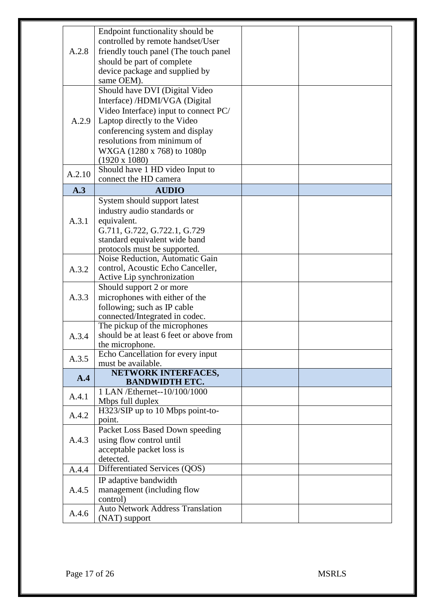|        | Endpoint functionality should be        |  |
|--------|-----------------------------------------|--|
|        | controlled by remote handset/User       |  |
| A.2.8  | friendly touch panel (The touch panel)  |  |
|        | should be part of complete              |  |
|        | device package and supplied by          |  |
|        | same OEM).                              |  |
|        | Should have DVI (Digital Video          |  |
|        | Interface) /HDMI/VGA (Digital           |  |
|        |                                         |  |
|        | Video Interface) input to connect PC/   |  |
| A.2.9  | Laptop directly to the Video            |  |
|        | conferencing system and display         |  |
|        | resolutions from minimum of             |  |
|        | WXGA (1280 x 768) to 1080p              |  |
|        | $(1920 \times 1080)$                    |  |
| A.2.10 | Should have 1 HD video Input to         |  |
|        | connect the HD camera                   |  |
| A.3    | <b>AUDIO</b>                            |  |
|        | System should support latest            |  |
|        | industry audio standards or             |  |
| A.3.1  | equivalent.                             |  |
|        | G.711, G.722, G.722.1, G.729            |  |
|        | standard equivalent wide band           |  |
|        | protocols must be supported.            |  |
|        | Noise Reduction, Automatic Gain         |  |
| A.3.2  | control, Acoustic Echo Canceller,       |  |
|        | Active Lip synchronization              |  |
|        | Should support 2 or more                |  |
| A.3.3  | microphones with either of the          |  |
|        | following; such as IP cable             |  |
|        | connected/Integrated in codec.          |  |
|        | The pickup of the microphones           |  |
| A.3.4  | should be at least 6 feet or above from |  |
|        | the microphone.                         |  |
| A.3.5  | Echo Cancellation for every input       |  |
|        | must be available.                      |  |
| A.4    | NETWORK INTERFACES,                     |  |
|        | <b>BANDWIDTH ETC.</b>                   |  |
| A.4.1  | 1 LAN /Ethernet--10/100/1000            |  |
|        | Mbps full duplex                        |  |
| A.4.2  | H323/SIP up to 10 Mbps point-to-        |  |
|        | point.                                  |  |
|        | Packet Loss Based Down speeding         |  |
| A.4.3  | using flow control until                |  |
|        | acceptable packet loss is               |  |
|        | detected.                               |  |
| A.4.4  | Differentiated Services (QOS)           |  |
|        | IP adaptive bandwidth                   |  |
| A.4.5  | management (including flow              |  |
|        | control)                                |  |
| A.4.6  | <b>Auto Network Address Translation</b> |  |
|        | (NAT) support                           |  |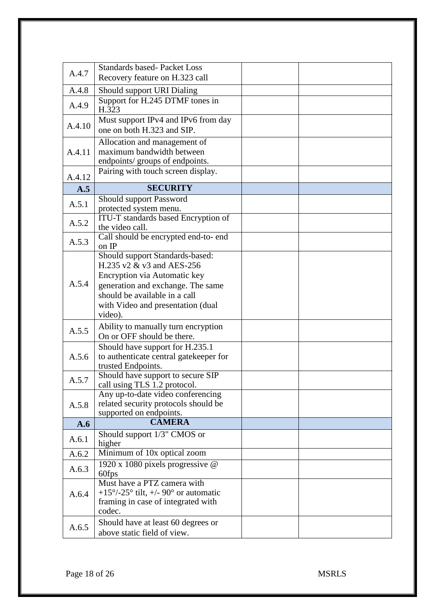| A.4.7  | <b>Standards based-Packet Loss</b>                                                                                                                                                                                 |  |  |
|--------|--------------------------------------------------------------------------------------------------------------------------------------------------------------------------------------------------------------------|--|--|
|        | Recovery feature on H.323 call                                                                                                                                                                                     |  |  |
| A.4.8  | Should support URI Dialing                                                                                                                                                                                         |  |  |
| A.4.9  | Support for H.245 DTMF tones in<br>H.323                                                                                                                                                                           |  |  |
| A.4.10 | Must support IPv4 and IPv6 from day<br>one on both H.323 and SIP.                                                                                                                                                  |  |  |
| A.4.11 | Allocation and management of<br>maximum bandwidth between<br>endpoints/ groups of endpoints.                                                                                                                       |  |  |
| A.4.12 | Pairing with touch screen display.                                                                                                                                                                                 |  |  |
| A.5    | <b>SECURITY</b>                                                                                                                                                                                                    |  |  |
| A.5.1  | Should support Password<br>protected system menu.                                                                                                                                                                  |  |  |
| A.5.2  | ITU-T standards based Encryption of<br>the video call.                                                                                                                                                             |  |  |
| A.5.3  | Call should be encrypted end-to- end<br>on IP                                                                                                                                                                      |  |  |
| A.5.4  | Should support Standards-based:<br>H.235 v2 & v3 and AES-256<br>Encryption via Automatic key<br>generation and exchange. The same<br>should be available in a call<br>with Video and presentation (dual<br>video). |  |  |
| A.5.5  | Ability to manually turn encryption<br>On or OFF should be there.                                                                                                                                                  |  |  |
| A.5.6  | Should have support for H.235.1<br>to authenticate central gatekeeper for<br>trusted Endpoints.                                                                                                                    |  |  |
| A.5.7  | Should have support to secure SIP<br>call using TLS 1.2 protocol.                                                                                                                                                  |  |  |
| A.5.8  | Any up-to-date video conferencing<br>related security protocols should be<br>supported on endpoints.                                                                                                               |  |  |
| A.6    | <b>CAMERA</b>                                                                                                                                                                                                      |  |  |
| A.6.1  | Should support 1/3" CMOS or<br>higher                                                                                                                                                                              |  |  |
| A.6.2  | Minimum of 10x optical zoom                                                                                                                                                                                        |  |  |
| A.6.3  | 1920 x 1080 pixels progressive @<br>60fps                                                                                                                                                                          |  |  |
| A.6.4  | Must have a PTZ camera with<br>+15 $\degree$ /-25 $\degree$ tilt, +/- 90 $\degree$ or automatic<br>framing in case of integrated with<br>codec.                                                                    |  |  |
| A.6.5  | Should have at least 60 degrees or<br>above static field of view.                                                                                                                                                  |  |  |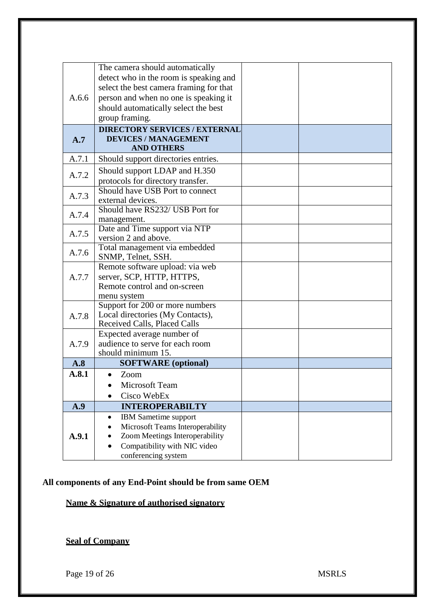|       | The camera should automatically             |  |
|-------|---------------------------------------------|--|
|       | detect who in the room is speaking and      |  |
|       | select the best camera framing for that     |  |
| A.6.6 | person and when no one is speaking it       |  |
|       | should automatically select the best        |  |
|       | group framing.                              |  |
|       | <b>DIRECTORY SERVICES / EXTERNAL</b>        |  |
| A.7   | <b>DEVICES / MANAGEMENT</b>                 |  |
|       | <b>AND OTHERS</b>                           |  |
| A.7.1 | Should support directories entries.         |  |
| A.7.2 | Should support LDAP and H.350               |  |
|       | protocols for directory transfer.           |  |
|       | Should have USB Port to connect             |  |
| A.7.3 | external devices.                           |  |
| A.7.4 | Should have RS232/ USB Port for             |  |
|       | management.                                 |  |
| A.7.5 | Date and Time support via NTP               |  |
|       | version 2 and above.                        |  |
| A.7.6 | Total management via embedded               |  |
|       | SNMP, Telnet, SSH.                          |  |
|       | Remote software upload: via web             |  |
| A.7.7 | server, SCP, HTTP, HTTPS,                   |  |
|       | Remote control and on-screen<br>menu system |  |
|       | Support for 200 or more numbers             |  |
| A.7.8 | Local directories (My Contacts),            |  |
|       | Received Calls, Placed Calls                |  |
|       | Expected average number of                  |  |
| A.7.9 | audience to serve for each room             |  |
|       | should minimum 15.                          |  |
| A.8   | <b>SOFTWARE</b> (optional)                  |  |
| A.8.1 | Zoom                                        |  |
|       | Microsoft Team                              |  |
|       | Cisco WebEx                                 |  |
| A.9   | <b>INTEROPERABILTY</b>                      |  |
|       | <b>IBM</b> Sametime support<br>$\bullet$    |  |
|       | Microsoft Teams Interoperability            |  |
| A.9.1 | Zoom Meetings Interoperability              |  |
|       | Compatibility with NIC video<br>$\bullet$   |  |
|       | conferencing system                         |  |

# **All components of any End-Point should be from same OEM**

**Name & Signature of authorised signatory**

**Seal of Company**

Page 19 of 26 MSRLS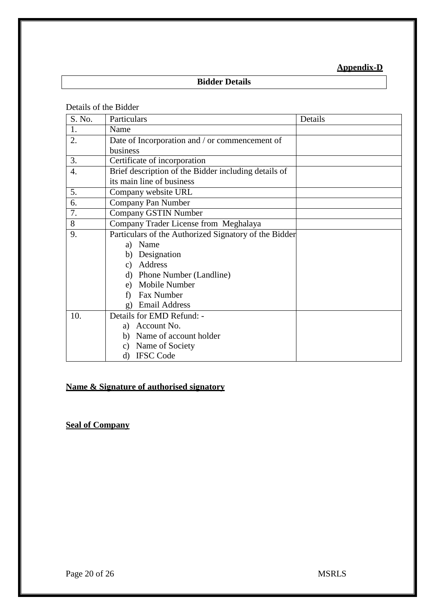# **Appendix-D**

# **Bidder Details**

Details of the Bidder

| S. No. | Particulars                                           | Details |
|--------|-------------------------------------------------------|---------|
| 1.     | Name                                                  |         |
| 2.     | Date of Incorporation and / or commencement of        |         |
|        | business                                              |         |
| 3.     | Certificate of incorporation                          |         |
| 4.     | Brief description of the Bidder including details of  |         |
|        | its main line of business                             |         |
| 5.     | Company website URL                                   |         |
| 6.     | Company Pan Number                                    |         |
| 7.     | Company GSTIN Number                                  |         |
| 8      | Company Trader License from Meghalaya                 |         |
| 9.     | Particulars of the Authorized Signatory of the Bidder |         |
|        | a) Name                                               |         |
|        | Designation<br>b)                                     |         |
|        | Address<br>$\mathcal{C}$ )                            |         |
|        | Phone Number (Landline)<br>d)                         |         |
|        | Mobile Number<br>e)                                   |         |
|        | Fax Number<br>f)                                      |         |
|        | <b>Email Address</b><br>g)                            |         |
| 10.    | Details for EMD Refund: -                             |         |
|        | Account No.<br>a)                                     |         |
|        | b) Name of account holder                             |         |
|        | c) Name of Society                                    |         |
|        | <b>IFSC Code</b><br>d)                                |         |

### **Name & Signature of authorised signatory**

**Seal of Company**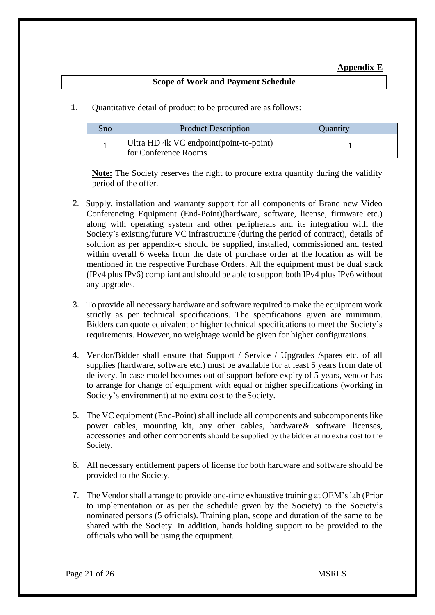### **Appendix-E**

#### **Scope of Work and Payment Schedule**

1. Quantitative detail of product to be procured are as follows:

| Sno | <b>Product Description</b>                                       | Quantity |
|-----|------------------------------------------------------------------|----------|
|     | Ultra HD 4k VC endpoint (point-to-point)<br>for Conference Rooms |          |

**Note:** The Society reserves the right to procure extra quantity during the validity period of the offer.

- 2. Supply, installation and warranty support for all components of Brand new Video Conferencing Equipment (End-Point)(hardware, software, license, firmware etc.) along with operating system and other peripherals and its integration with the Society's existing/future VC infrastructure (during the period of contract), details of solution as per appendix-c should be supplied, installed, commissioned and tested within overall 6 weeks from the date of purchase order at the location as will be mentioned in the respective Purchase Orders. All the equipment must be dual stack (IPv4 plus IPv6) compliant and should be able to support both IPv4 plus IPv6 without any upgrades.
- 3. To provide all necessary hardware and software required to make the equipment work strictly as per technical specifications. The specifications given are minimum. Bidders can quote equivalent or higher technical specifications to meet the Society's requirements. However, no weightage would be given for higher configurations.
- 4. Vendor/Bidder shall ensure that Support / Service / Upgrades /spares etc. of all supplies (hardware, software etc.) must be available for at least 5 years from date of delivery. In case model becomes out of support before expiry of 5 years, vendor has to arrange for change of equipment with equal or higher specifications (working in Society's environment) at no extra cost to the Society.
- 5. The VC equipment (End-Point) shall include all components and subcomponentslike power cables, mounting kit, any other cables, hardware& software licenses, accessories and other components should be supplied by the bidder at no extra cost to the Society.
- 6. All necessary entitlement papers of license for both hardware and software should be provided to the Society.
- 7. The Vendor shall arrange to provide one-time exhaustive training at OEM's lab (Prior to implementation or as per the schedule given by the Society) to the Society's nominated persons (5 officials). Training plan, scope and duration of the same to be shared with the Society. In addition, hands holding support to be provided to the officials who will be using the equipment.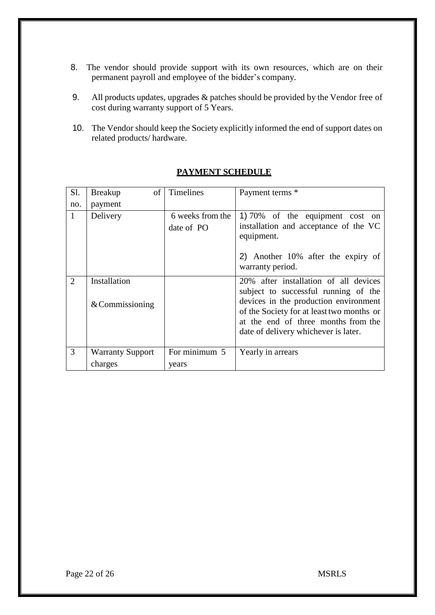- 8. The vendor should provide support with its own resources, which are on their permanent payroll and employee of the bidder's company.
- 9. All products updates, upgrades & patches should be provided by the Vendor free of cost during warranty support of 5 Years.
- 10. The Vendor should keep the Society explicitly informed the end of support dates on related products/ hardware.

| Sl.            | of<br><b>Breakup</b>    | Timelines                      | Payment terms *                                                                                                                                                   |
|----------------|-------------------------|--------------------------------|-------------------------------------------------------------------------------------------------------------------------------------------------------------------|
| no.            | payment                 |                                |                                                                                                                                                                   |
| $\mathbf{1}$   | Delivery                | 6 weeks from the<br>date of PO | 1) 70% of the equipment cost on<br>installation and acceptance of the VC<br>equipment.<br>2) Another 10% after the expiry of<br>warranty period.                  |
|                |                         |                                |                                                                                                                                                                   |
| $\overline{2}$ | Installation            |                                | 20% after installation of all devices<br>subject to successful running of the                                                                                     |
|                | $&$ Commissioning       |                                | devices in the production environment<br>of the Society for at least two months or<br>at the end of three months from the<br>date of delivery whichever is later. |
| 3              | <b>Warranty Support</b> | For minimum 5                  | Yearly in arrears                                                                                                                                                 |
|                | charges                 | years                          |                                                                                                                                                                   |

### **PAYMENT SCHEDULE**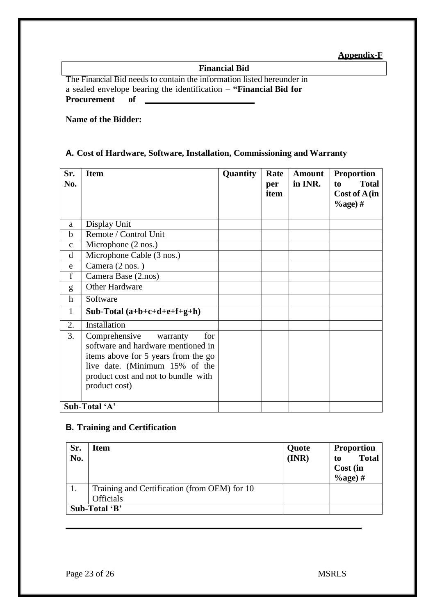**Appendix-F**

**Financial Bid**

The Financial Bid needs to contain the information listed hereunder in a sealed envelope bearing the identification – **"Financial Bid for Procurement of**

**Name of the Bidder:**

### **A. Cost of Hardware, Software, Installation, Commissioning and Warranty**

| Sr.<br>No.    | <b>Item</b>                                                                                                                                                                                             | Quantity | Rate<br>per<br>item | Amount<br>in INR. | <b>Proportion</b><br><b>Total</b><br>to<br>Cost of A (in<br>$\%$ age) # |
|---------------|---------------------------------------------------------------------------------------------------------------------------------------------------------------------------------------------------------|----------|---------------------|-------------------|-------------------------------------------------------------------------|
| a             | Display Unit                                                                                                                                                                                            |          |                     |                   |                                                                         |
| $\mathbf b$   | Remote / Control Unit                                                                                                                                                                                   |          |                     |                   |                                                                         |
| $\mathbf{C}$  | Microphone $(2 \text{ nos.})$                                                                                                                                                                           |          |                     |                   |                                                                         |
| d             | Microphone Cable (3 nos.)                                                                                                                                                                               |          |                     |                   |                                                                         |
| e             | Camera (2 nos.)                                                                                                                                                                                         |          |                     |                   |                                                                         |
| $\mathbf{f}$  | Camera Base (2.nos)                                                                                                                                                                                     |          |                     |                   |                                                                         |
| g             | <b>Other Hardware</b>                                                                                                                                                                                   |          |                     |                   |                                                                         |
| $\mathbf h$   | Software                                                                                                                                                                                                |          |                     |                   |                                                                         |
| $\mathbf{1}$  | Sub-Total $(a+b+c+d+e+f+g+h)$                                                                                                                                                                           |          |                     |                   |                                                                         |
| 2.            | Installation                                                                                                                                                                                            |          |                     |                   |                                                                         |
| 3.            | Comprehensive<br>for<br>warranty<br>software and hardware mentioned in<br>items above for 5 years from the go<br>live date. (Minimum 15% of the<br>product cost and not to bundle with<br>product cost) |          |                     |                   |                                                                         |
| Sub-Total 'A' |                                                                                                                                                                                                         |          |                     |                   |                                                                         |

#### **B. Training and Certification**

| Sr.<br>No. | Item                                         | Quote<br>(INR) | <b>Proportion</b><br><b>Total</b><br>to<br>Cost (in<br>$\%$ age) # |  |  |
|------------|----------------------------------------------|----------------|--------------------------------------------------------------------|--|--|
|            | Training and Certification (from OEM) for 10 |                |                                                                    |  |  |
|            | <b>Officials</b>                             |                |                                                                    |  |  |
|            | Sub-Total 'B'                                |                |                                                                    |  |  |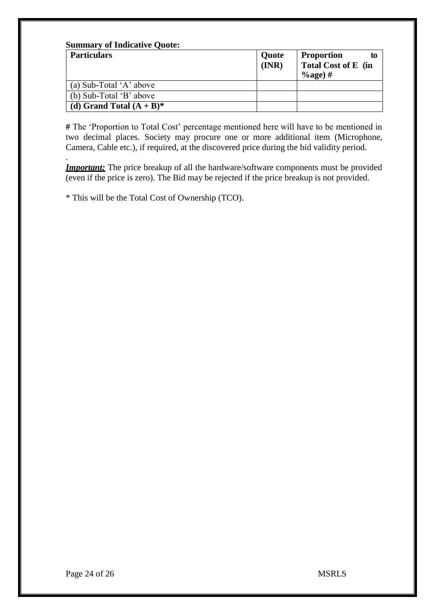| <b>Summary of Indicative Quote:</b><br><b>Particulars</b> | Quote | <b>Proportion</b><br>to                   |  |  |
|-----------------------------------------------------------|-------|-------------------------------------------|--|--|
|                                                           | (INR) | <b>Total Cost of E</b> (in<br>$\%$ age) # |  |  |
| (a) Sub-Total 'A' above                                   |       |                                           |  |  |
| (b) Sub-Total 'B' above                                   |       |                                           |  |  |
| (d) Grand Total $(A + B)^*$                               |       |                                           |  |  |

**#** The 'Proportion to Total Cost' percentage mentioned here will have to be mentioned in two decimal places. Society may procure one or more additional item (Microphone, Camera, Cable etc.), if required, at the discovered price during the bid validity period.

. *Important:* The price breakup of all the hardware/software components must be provided (even if the price is zero). The Bid may be rejected if the price breakup is not provided.

\* This will be the Total Cost of Ownership (TCO).

Page 24 of 26 MSRLS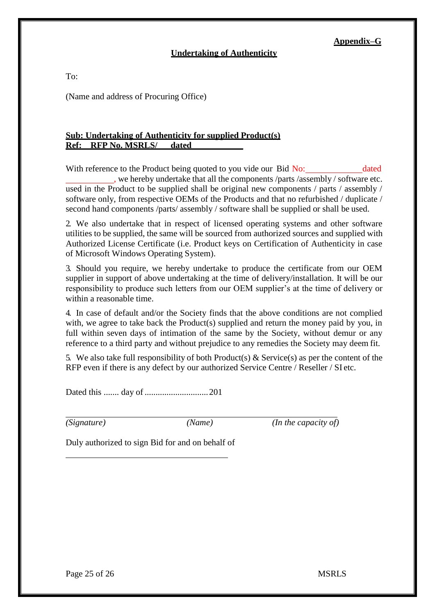#### **Appendix–G**

#### **Undertaking of Authenticity**

To:

(Name and address of Procuring Office)

#### **Sub: Undertaking of Authenticity for supplied Product(s) Ref: RFP No. MSRLS/ dated \_\_\_\_\_\_\_\_\_\_\_\_**

With reference to the Product being quoted to you vide our Bid No: dated , we hereby undertake that all the components /parts /assembly / software etc. used in the Product to be supplied shall be original new components / parts / assembly / software only, from respective OEMs of the Products and that no refurbished / duplicate / second hand components /parts/ assembly / software shall be supplied or shall be used.

2. We also undertake that in respect of licensed operating systems and other software utilities to be supplied, the same will be sourced from authorized sources and supplied with Authorized License Certificate (i.e. Product keys on Certification of Authenticity in case of Microsoft Windows Operating System).

3. Should you require, we hereby undertake to produce the certificate from our OEM supplier in support of above undertaking at the time of delivery/installation. It will be our responsibility to produce such letters from our OEM supplier's at the time of delivery or within a reasonable time.

4. In case of default and/or the Society finds that the above conditions are not complied with, we agree to take back the Product(s) supplied and return the money paid by you, in full within seven days of intimation of the same by the Society, without demur or any reference to a third party and without prejudice to any remedies the Society may deem fit.

5. We also take full responsibility of both Product(s) & Service(s) as per the content of the RFP even if there is any defect by our authorized Service Centre / Reseller / SI etc.

Dated this ....... day of .............................201

*(Signature) (Name) (In the capacity of)*

Duly authorized to sign Bid for and on behalf of